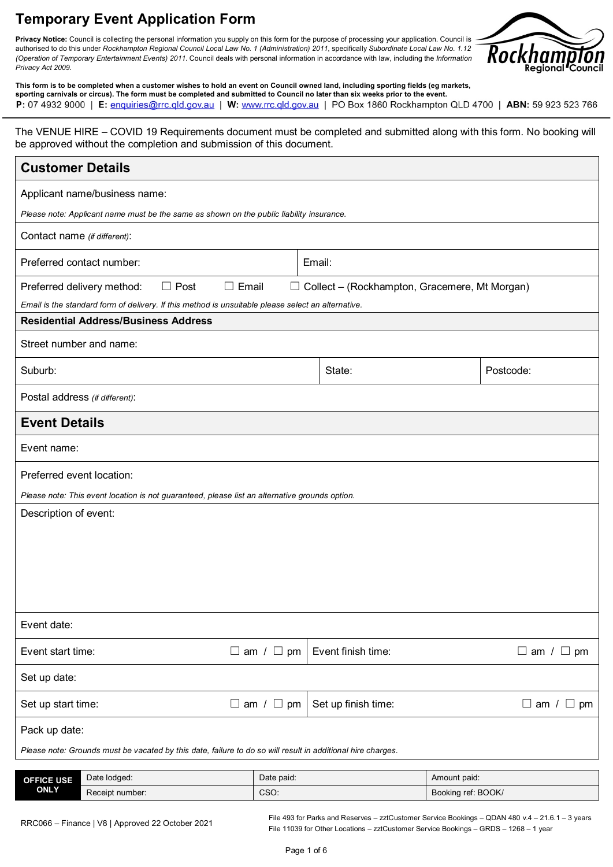#### **Temporary Event Application Form**

**Privacy Notice:** Council is collecting the personal information you supply on this form for the purpose of processing your application. Council is authorised to do this under *Rockhampton Regional Council Local Law No. 1 (Administration) 2011*, specifically *Subordinate Local Law No. 1.12 (Operation of Temporary Entertainment Events) 2011*. Council deals with personal information in accordance with law, including the *Information Privacy Act 2009*.



**This form is to be completed when a customer wishes to hold an event on Council owned land, including sporting fields (eg markets, sporting carnivals or circus). The form must be completed and submitted to Council no later than six weeks prior to the event.** P: 07 4932 9000 | E: enquiries@rrc.qld.gov.au | W: www.rrc.qld.gov.au | PO Box 1860 Rockhampton QLD 4700 | ABN: 59 923 523 766

The VENUE HIRE – COVID 19 Requirements document must be completed and submitted along with this form. No booking will be approved without the completion and submission of this document.

| <b>Customer Details</b>                                                                                                                           |                       |                                                      |                    |                       |
|---------------------------------------------------------------------------------------------------------------------------------------------------|-----------------------|------------------------------------------------------|--------------------|-----------------------|
| Applicant name/business name:                                                                                                                     |                       |                                                      |                    |                       |
| Please note: Applicant name must be the same as shown on the public liability insurance.                                                          |                       |                                                      |                    |                       |
| Contact name (if different):                                                                                                                      |                       |                                                      |                    |                       |
| Preferred contact number:                                                                                                                         |                       | Email:                                               |                    |                       |
| Preferred delivery method:<br>$\Box$ Post<br>$\Box$ Email                                                                                         |                       | $\Box$ Collect – (Rockhampton, Gracemere, Mt Morgan) |                    |                       |
| Email is the standard form of delivery. If this method is unsuitable please select an alternative.<br><b>Residential Address/Business Address</b> |                       |                                                      |                    |                       |
|                                                                                                                                                   |                       |                                                      |                    |                       |
| Street number and name:                                                                                                                           |                       |                                                      |                    |                       |
| Suburb:                                                                                                                                           |                       | State:                                               |                    | Postcode:             |
| Postal address (if different):                                                                                                                    |                       |                                                      |                    |                       |
| <b>Event Details</b>                                                                                                                              |                       |                                                      |                    |                       |
| Event name:                                                                                                                                       |                       |                                                      |                    |                       |
| Preferred event location:                                                                                                                         |                       |                                                      |                    |                       |
| Please note: This event location is not guaranteed, please list an alternative grounds option.                                                    |                       |                                                      |                    |                       |
| Description of event:                                                                                                                             |                       |                                                      |                    |                       |
|                                                                                                                                                   |                       |                                                      |                    |                       |
|                                                                                                                                                   |                       |                                                      |                    |                       |
|                                                                                                                                                   |                       |                                                      |                    |                       |
|                                                                                                                                                   |                       |                                                      |                    |                       |
| Event date:                                                                                                                                       |                       |                                                      |                    |                       |
| Event start time:                                                                                                                                 | $\Box$ am / $\Box$ pm | Event finish time:                                   |                    | $\Box$ am / $\Box$ pm |
| Set up date:                                                                                                                                      |                       |                                                      |                    |                       |
| Set up start time:                                                                                                                                | $\Box$ am / $\Box$ pm | Set up finish time:                                  |                    | $\Box$ am / $\Box$ pm |
| Pack up date:                                                                                                                                     |                       |                                                      |                    |                       |
| Please note: Grounds must be vacated by this date, failure to do so will result in additional hire charges.                                       |                       |                                                      |                    |                       |
| Date lodged:<br><b>OFFICE USE</b>                                                                                                                 | Date paid:            |                                                      | Amount paid:       |                       |
| <b>ONLY</b><br>Receipt number:                                                                                                                    | CSO:                  |                                                      | Booking ref: BOOK/ |                       |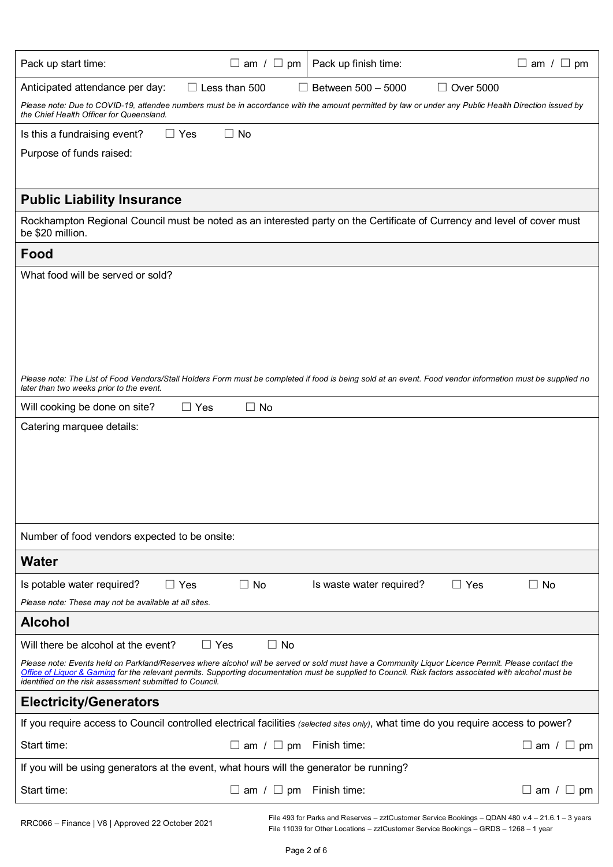| Pack up start time:                                                                                                                                                                                                                                                                                                                                                     | $\Box$ am / $\Box$ pm              | Pack up finish time:     |                  | $\Box$ am / $\Box$ pm      |
|-------------------------------------------------------------------------------------------------------------------------------------------------------------------------------------------------------------------------------------------------------------------------------------------------------------------------------------------------------------------------|------------------------------------|--------------------------|------------------|----------------------------|
| Anticipated attendance per day:                                                                                                                                                                                                                                                                                                                                         | $\Box$ Less than 500               | Between 500 - 5000       | $\Box$ Over 5000 |                            |
| Please note: Due to COVID-19, attendee numbers must be in accordance with the amount permitted by law or under any Public Health Direction issued by<br>the Chief Health Officer for Queensland.                                                                                                                                                                        |                                    |                          |                  |                            |
| $\Box$ Yes<br>Is this a fundraising event?                                                                                                                                                                                                                                                                                                                              | $\Box$ No                          |                          |                  |                            |
| Purpose of funds raised:                                                                                                                                                                                                                                                                                                                                                |                                    |                          |                  |                            |
|                                                                                                                                                                                                                                                                                                                                                                         |                                    |                          |                  |                            |
| <b>Public Liability Insurance</b>                                                                                                                                                                                                                                                                                                                                       |                                    |                          |                  |                            |
| Rockhampton Regional Council must be noted as an interested party on the Certificate of Currency and level of cover must<br>be \$20 million.                                                                                                                                                                                                                            |                                    |                          |                  |                            |
| Food                                                                                                                                                                                                                                                                                                                                                                    |                                    |                          |                  |                            |
| What food will be served or sold?                                                                                                                                                                                                                                                                                                                                       |                                    |                          |                  |                            |
|                                                                                                                                                                                                                                                                                                                                                                         |                                    |                          |                  |                            |
|                                                                                                                                                                                                                                                                                                                                                                         |                                    |                          |                  |                            |
|                                                                                                                                                                                                                                                                                                                                                                         |                                    |                          |                  |                            |
|                                                                                                                                                                                                                                                                                                                                                                         |                                    |                          |                  |                            |
| Please note: The List of Food Vendors/Stall Holders Form must be completed if food is being sold at an event. Food vendor information must be supplied no<br>later than two weeks prior to the event.                                                                                                                                                                   |                                    |                          |                  |                            |
| Will cooking be done on site?<br>$\Box$ Yes                                                                                                                                                                                                                                                                                                                             | $\Box$ No                          |                          |                  |                            |
| Catering marquee details:                                                                                                                                                                                                                                                                                                                                               |                                    |                          |                  |                            |
|                                                                                                                                                                                                                                                                                                                                                                         |                                    |                          |                  |                            |
|                                                                                                                                                                                                                                                                                                                                                                         |                                    |                          |                  |                            |
|                                                                                                                                                                                                                                                                                                                                                                         |                                    |                          |                  |                            |
|                                                                                                                                                                                                                                                                                                                                                                         |                                    |                          |                  |                            |
| Number of food vendors expected to be onsite:                                                                                                                                                                                                                                                                                                                           |                                    |                          |                  |                            |
| <b>Water</b>                                                                                                                                                                                                                                                                                                                                                            |                                    |                          |                  |                            |
| $\Box$ Yes<br>Is potable water required?                                                                                                                                                                                                                                                                                                                                | $\Box$ No                          | Is waste water required? | $\Box$ Yes       | $\Box$ No                  |
| Please note: These may not be available at all sites.                                                                                                                                                                                                                                                                                                                   |                                    |                          |                  |                            |
| <b>Alcohol</b>                                                                                                                                                                                                                                                                                                                                                          |                                    |                          |                  |                            |
| Will there be alcohol at the event?<br>$\Box$ Yes                                                                                                                                                                                                                                                                                                                       | $\Box$ No                          |                          |                  |                            |
| Please note: Events held on Parkland/Reserves where alcohol will be served or sold must have a Community Liquor Licence Permit. Please contact the<br>Office of Liguor & Gaming for the relevant permits. Supporting documentation must be supplied to Council. Risk factors associated with alcohol must be<br>identified on the risk assessment submitted to Council. |                                    |                          |                  |                            |
| <b>Electricity/Generators</b>                                                                                                                                                                                                                                                                                                                                           |                                    |                          |                  |                            |
| If you require access to Council controlled electrical facilities (selected sites only), what time do you require access to power?                                                                                                                                                                                                                                      |                                    |                          |                  |                            |
| Start time:                                                                                                                                                                                                                                                                                                                                                             | $\Box$ am / $\Box$ pm              | Finish time:             |                  | ப<br>am $/$<br>$\sqcup$ pm |
| If you will be using generators at the event, what hours will the generator be running?                                                                                                                                                                                                                                                                                 |                                    |                          |                  |                            |
| Start time:                                                                                                                                                                                                                                                                                                                                                             | $\Box$ am / $\Box$ pm Finish time: |                          |                  | $\Box$ am / $\Box$ pm      |
|                                                                                                                                                                                                                                                                                                                                                                         |                                    |                          |                  |                            |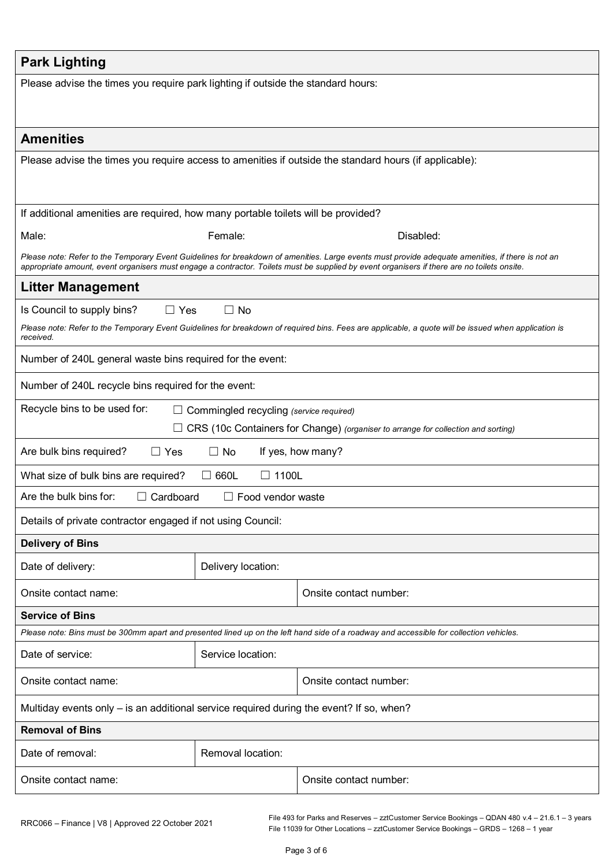| <b>Park Lighting</b>                                                                       |                                                                                                                                         |                                                                                                                                                      |  |  |
|--------------------------------------------------------------------------------------------|-----------------------------------------------------------------------------------------------------------------------------------------|------------------------------------------------------------------------------------------------------------------------------------------------------|--|--|
| Please advise the times you require park lighting if outside the standard hours:           |                                                                                                                                         |                                                                                                                                                      |  |  |
|                                                                                            |                                                                                                                                         |                                                                                                                                                      |  |  |
| <b>Amenities</b>                                                                           |                                                                                                                                         |                                                                                                                                                      |  |  |
|                                                                                            |                                                                                                                                         | Please advise the times you require access to amenities if outside the standard hours (if applicable):                                               |  |  |
|                                                                                            |                                                                                                                                         |                                                                                                                                                      |  |  |
|                                                                                            |                                                                                                                                         |                                                                                                                                                      |  |  |
| If additional amenities are required, how many portable toilets will be provided?<br>Male: | Female:                                                                                                                                 | Disabled:                                                                                                                                            |  |  |
|                                                                                            |                                                                                                                                         | Please note: Refer to the Temporary Event Guidelines for breakdown of amenities. Large events must provide adequate amenities, if there is not an    |  |  |
|                                                                                            |                                                                                                                                         | appropriate amount, event organisers must engage a contractor. Toilets must be supplied by event organisers if there are no toilets onsite.          |  |  |
| <b>Litter Management</b>                                                                   |                                                                                                                                         |                                                                                                                                                      |  |  |
| $\Box$ Yes<br>Is Council to supply bins?                                                   | $\Box$ No                                                                                                                               |                                                                                                                                                      |  |  |
| received.                                                                                  |                                                                                                                                         | Please note: Refer to the Temporary Event Guidelines for breakdown of required bins. Fees are applicable, a quote will be issued when application is |  |  |
| Number of 240L general waste bins required for the event:                                  |                                                                                                                                         |                                                                                                                                                      |  |  |
| Number of 240L recycle bins required for the event:                                        |                                                                                                                                         |                                                                                                                                                      |  |  |
| Recycle bins to be used for:                                                               | $\Box$ Commingled recycling (service required)                                                                                          |                                                                                                                                                      |  |  |
| CRS (10c Containers for Change) (organiser to arrange for collection and sorting)          |                                                                                                                                         |                                                                                                                                                      |  |  |
| Are bulk bins required?<br>$\Box$ No<br>If yes, how many?<br>$\Box$ Yes                    |                                                                                                                                         |                                                                                                                                                      |  |  |
| $\Box$ 1100L<br>What size of bulk bins are required?<br>$\Box$ 660L                        |                                                                                                                                         |                                                                                                                                                      |  |  |
| $\Box$ Cardboard<br>Are the bulk bins for:<br>$\Box$ Food vendor waste                     |                                                                                                                                         |                                                                                                                                                      |  |  |
|                                                                                            | Details of private contractor engaged if not using Council:                                                                             |                                                                                                                                                      |  |  |
| <b>Delivery of Bins</b>                                                                    |                                                                                                                                         |                                                                                                                                                      |  |  |
| Date of delivery:                                                                          | Delivery location:                                                                                                                      |                                                                                                                                                      |  |  |
| Onsite contact name:                                                                       |                                                                                                                                         | Onsite contact number:                                                                                                                               |  |  |
| <b>Service of Bins</b>                                                                     |                                                                                                                                         |                                                                                                                                                      |  |  |
|                                                                                            | Please note: Bins must be 300mm apart and presented lined up on the left hand side of a roadway and accessible for collection vehicles. |                                                                                                                                                      |  |  |
| Date of service:                                                                           | Service location:                                                                                                                       |                                                                                                                                                      |  |  |
| Onsite contact name:                                                                       | Onsite contact number:                                                                                                                  |                                                                                                                                                      |  |  |
| Multiday events only - is an additional service required during the event? If so, when?    |                                                                                                                                         |                                                                                                                                                      |  |  |
| <b>Removal of Bins</b>                                                                     |                                                                                                                                         |                                                                                                                                                      |  |  |
| Date of removal:                                                                           | Removal location:                                                                                                                       |                                                                                                                                                      |  |  |
| Onsite contact name:                                                                       |                                                                                                                                         | Onsite contact number:                                                                                                                               |  |  |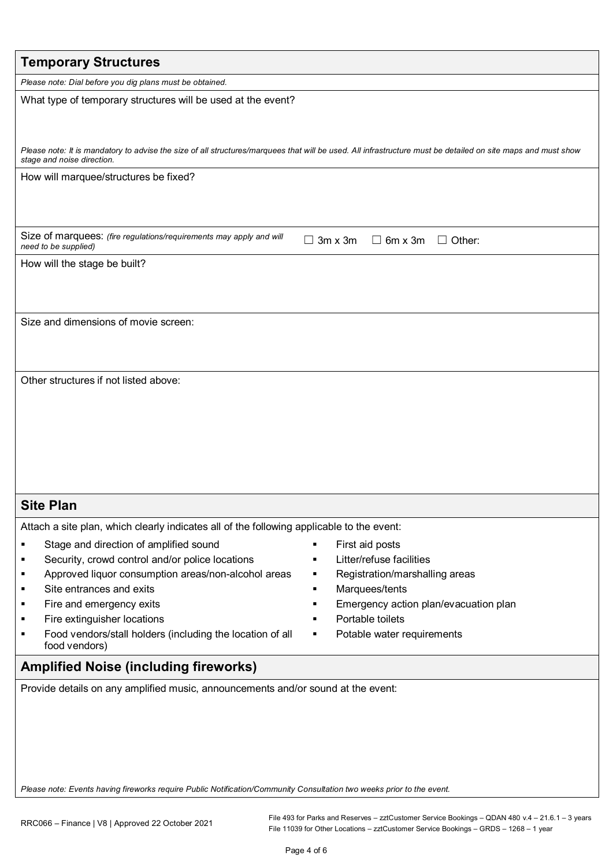| <b>Temporary Structures</b>                                                                                                                                                                               |
|-----------------------------------------------------------------------------------------------------------------------------------------------------------------------------------------------------------|
| Please note: Dial before you dig plans must be obtained.                                                                                                                                                  |
| What type of temporary structures will be used at the event?                                                                                                                                              |
| Please note: It is mandatory to advise the size of all structures/marquees that will be used. All infrastructure must be detailed on site maps and must show<br>stage and noise direction.                |
| How will marquee/structures be fixed?                                                                                                                                                                     |
| Size of marquees: (fire regulations/requirements may apply and will<br>$3m \times 3m$<br>$\Box$ 6m x 3m<br>$\Box$ Other:<br>$\perp$<br>need to be supplied)                                               |
| How will the stage be built?                                                                                                                                                                              |
| Size and dimensions of movie screen:                                                                                                                                                                      |
| Other structures if not listed above:                                                                                                                                                                     |
| <b>Site Plan</b>                                                                                                                                                                                          |
| Attach a site plan, which clearly indicates all of the following applicable to the event:                                                                                                                 |
| Stage and direction of amplified sound<br>First aid posts<br>٠                                                                                                                                            |
| Litter/refuse facilities<br>Security, crowd control and/or police locations<br>п                                                                                                                          |
| Approved liquor consumption areas/non-alcohol areas<br>Registration/marshalling areas<br>٠<br>п                                                                                                           |
| Site entrances and exits<br>Marquees/tents<br>٠<br>٠<br>Emergency action plan/evacuation plan<br>Fire and emergency exits<br>٠<br>п                                                                       |
| Portable toilets<br>Fire extinguisher locations<br>п                                                                                                                                                      |
| Food vendors/stall holders (including the location of all<br>Potable water requirements<br>п<br>٠<br>food vendors)                                                                                        |
| <b>Amplified Noise (including fireworks)</b>                                                                                                                                                              |
| Provide details on any amplified music, announcements and/or sound at the event:<br>Please note: Events having fireworks require Public Notification/Community Consultation two weeks prior to the event. |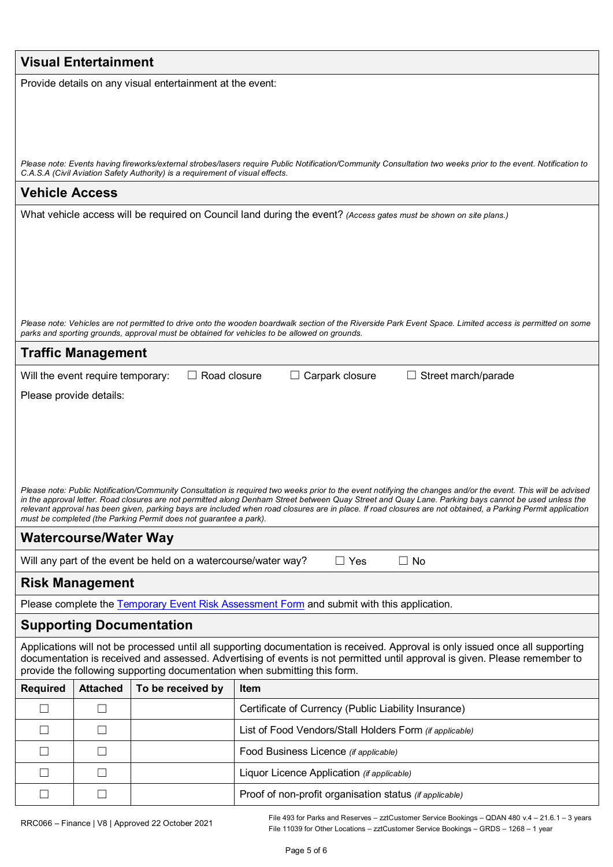| <b>Visual Entertainment</b>                                                                                                                                                                                                                                                                                           |  |  |  |  |
|-----------------------------------------------------------------------------------------------------------------------------------------------------------------------------------------------------------------------------------------------------------------------------------------------------------------------|--|--|--|--|
| Provide details on any visual entertainment at the event:                                                                                                                                                                                                                                                             |  |  |  |  |
|                                                                                                                                                                                                                                                                                                                       |  |  |  |  |
|                                                                                                                                                                                                                                                                                                                       |  |  |  |  |
|                                                                                                                                                                                                                                                                                                                       |  |  |  |  |
| Please note: Events having fireworks/external strobes/lasers require Public Notification/Community Consultation two weeks prior to the event. Notification to<br>C.A.S.A (Civil Aviation Safety Authority) is a requirement of visual effects.                                                                        |  |  |  |  |
| <b>Vehicle Access</b>                                                                                                                                                                                                                                                                                                 |  |  |  |  |
| What vehicle access will be required on Council land during the event? (Access gates must be shown on site plans.)                                                                                                                                                                                                    |  |  |  |  |
|                                                                                                                                                                                                                                                                                                                       |  |  |  |  |
|                                                                                                                                                                                                                                                                                                                       |  |  |  |  |
|                                                                                                                                                                                                                                                                                                                       |  |  |  |  |
|                                                                                                                                                                                                                                                                                                                       |  |  |  |  |
| Please note: Vehicles are not permitted to drive onto the wooden boardwalk section of the Riverside Park Event Space. Limited access is permitted on some                                                                                                                                                             |  |  |  |  |
| parks and sporting grounds, approval must be obtained for vehicles to be allowed on grounds.                                                                                                                                                                                                                          |  |  |  |  |
| <b>Traffic Management</b>                                                                                                                                                                                                                                                                                             |  |  |  |  |
| $\Box$ Road closure<br>$\Box$ Carpark closure<br>$\Box$ Street march/parade<br>Will the event require temporary:                                                                                                                                                                                                      |  |  |  |  |
| Please provide details:                                                                                                                                                                                                                                                                                               |  |  |  |  |
|                                                                                                                                                                                                                                                                                                                       |  |  |  |  |
|                                                                                                                                                                                                                                                                                                                       |  |  |  |  |
|                                                                                                                                                                                                                                                                                                                       |  |  |  |  |
| Please note: Public Notification/Community Consultation is required two weeks prior to the event notifying the changes and/or the event. This will be advised                                                                                                                                                         |  |  |  |  |
| in the approval letter. Road closures are not permitted along Denham Street between Quay Street and Quay Lane. Parking bays cannot be used unless the<br>relevant approval has been given, parking bays are included when road closures are in place. If road closures are not obtained, a Parking Permit application |  |  |  |  |
| must be completed (the Parking Permit does not guarantee a park).                                                                                                                                                                                                                                                     |  |  |  |  |
| <b>Watercourse/Water Way</b>                                                                                                                                                                                                                                                                                          |  |  |  |  |
| Will any part of the event be held on a watercourse/water way?<br>$\Box$ Yes<br>$\Box$ No                                                                                                                                                                                                                             |  |  |  |  |
| <b>Risk Management</b>                                                                                                                                                                                                                                                                                                |  |  |  |  |
| Please complete the Temporary Event Risk Assessment Form and submit with this application.                                                                                                                                                                                                                            |  |  |  |  |
| <b>Supporting Documentation</b>                                                                                                                                                                                                                                                                                       |  |  |  |  |
| Applications will not be processed until all supporting documentation is received. Approval is only issued once all supporting<br>documentation is received and assessed. Advertising of events is not permitted until approval is given. Please remember to                                                          |  |  |  |  |
| provide the following supporting documentation when submitting this form.                                                                                                                                                                                                                                             |  |  |  |  |
| <b>Required</b><br><b>Attached</b><br>To be received by<br>Item                                                                                                                                                                                                                                                       |  |  |  |  |
| $\Box$<br>$\Box$<br>Certificate of Currency (Public Liability Insurance)                                                                                                                                                                                                                                              |  |  |  |  |
| List of Food Vendors/Stall Holders Form (if applicable)<br>$\Box$<br>$\perp$                                                                                                                                                                                                                                          |  |  |  |  |
| $\Box$<br>$\Box$<br>Food Business Licence (if applicable)                                                                                                                                                                                                                                                             |  |  |  |  |
| П<br>$\Box$<br>Liquor Licence Application (if applicable)                                                                                                                                                                                                                                                             |  |  |  |  |
| Proof of non-profit organisation status (if applicable)<br>$\Box$<br>$\perp$                                                                                                                                                                                                                                          |  |  |  |  |
|                                                                                                                                                                                                                                                                                                                       |  |  |  |  |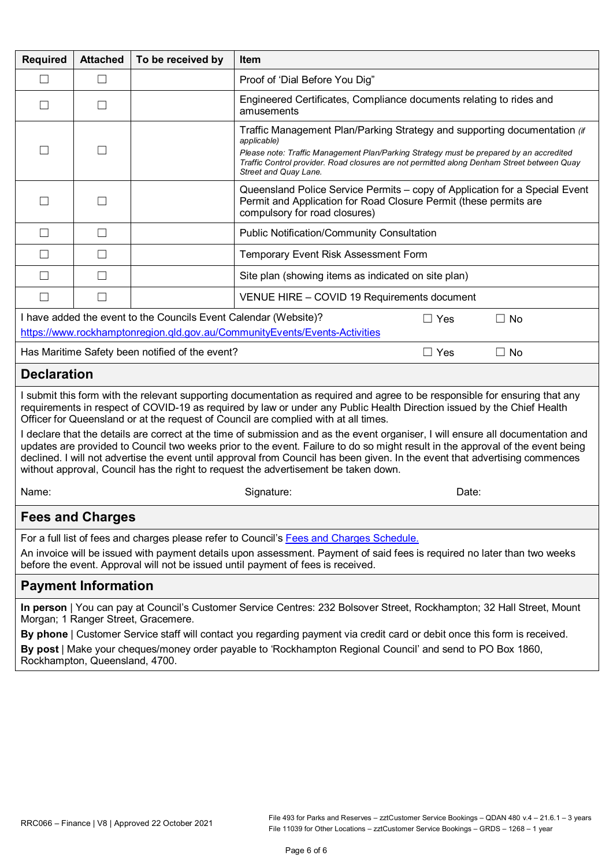| <b>Required</b>                                                                                                                                                                                                                                                                                                                                                                                                                                                                           | <b>Attached</b>                                                                                                                                                                                                                                                                                                                              | To be received by | <b>Item</b>                                                                                                                                                                                                                                                                                                |  |  |
|-------------------------------------------------------------------------------------------------------------------------------------------------------------------------------------------------------------------------------------------------------------------------------------------------------------------------------------------------------------------------------------------------------------------------------------------------------------------------------------------|----------------------------------------------------------------------------------------------------------------------------------------------------------------------------------------------------------------------------------------------------------------------------------------------------------------------------------------------|-------------------|------------------------------------------------------------------------------------------------------------------------------------------------------------------------------------------------------------------------------------------------------------------------------------------------------------|--|--|
| $\mathsf{L}$                                                                                                                                                                                                                                                                                                                                                                                                                                                                              | $\overline{\phantom{a}}$                                                                                                                                                                                                                                                                                                                     |                   | Proof of 'Dial Before You Dig"                                                                                                                                                                                                                                                                             |  |  |
| $\mathsf{L}$                                                                                                                                                                                                                                                                                                                                                                                                                                                                              | $\mathsf{L}$                                                                                                                                                                                                                                                                                                                                 |                   | Engineered Certificates, Compliance documents relating to rides and<br>amusements                                                                                                                                                                                                                          |  |  |
|                                                                                                                                                                                                                                                                                                                                                                                                                                                                                           |                                                                                                                                                                                                                                                                                                                                              |                   | Traffic Management Plan/Parking Strategy and supporting documentation (if<br>applicable)<br>Please note: Traffic Management Plan/Parking Strategy must be prepared by an accredited<br>Traffic Control provider. Road closures are not permitted along Denham Street between Quay<br>Street and Quay Lane. |  |  |
| $\vert \ \ \vert$                                                                                                                                                                                                                                                                                                                                                                                                                                                                         |                                                                                                                                                                                                                                                                                                                                              |                   | Queensland Police Service Permits - copy of Application for a Special Event<br>Permit and Application for Road Closure Permit (these permits are<br>compulsory for road closures)                                                                                                                          |  |  |
| $\Box$                                                                                                                                                                                                                                                                                                                                                                                                                                                                                    | $\perp$                                                                                                                                                                                                                                                                                                                                      |                   | <b>Public Notification/Community Consultation</b>                                                                                                                                                                                                                                                          |  |  |
| $\perp$                                                                                                                                                                                                                                                                                                                                                                                                                                                                                   |                                                                                                                                                                                                                                                                                                                                              |                   | Temporary Event Risk Assessment Form                                                                                                                                                                                                                                                                       |  |  |
| П                                                                                                                                                                                                                                                                                                                                                                                                                                                                                         | $\perp$                                                                                                                                                                                                                                                                                                                                      |                   | Site plan (showing items as indicated on site plan)                                                                                                                                                                                                                                                        |  |  |
| $\perp$                                                                                                                                                                                                                                                                                                                                                                                                                                                                                   | $\mathsf{L}$                                                                                                                                                                                                                                                                                                                                 |                   | VENUE HIRE - COVID 19 Requirements document                                                                                                                                                                                                                                                                |  |  |
|                                                                                                                                                                                                                                                                                                                                                                                                                                                                                           | I have added the event to the Councils Event Calendar (Website)?<br>$\Box$ Yes<br>$\Box$ No                                                                                                                                                                                                                                                  |                   |                                                                                                                                                                                                                                                                                                            |  |  |
| https://www.rockhamptonregion.qld.gov.au/CommunityEvents/Events-Activities<br>Has Maritime Safety been notified of the event?<br>$\Box$ Yes<br>$\Box$ No                                                                                                                                                                                                                                                                                                                                  |                                                                                                                                                                                                                                                                                                                                              |                   |                                                                                                                                                                                                                                                                                                            |  |  |
|                                                                                                                                                                                                                                                                                                                                                                                                                                                                                           |                                                                                                                                                                                                                                                                                                                                              |                   |                                                                                                                                                                                                                                                                                                            |  |  |
| <b>Declaration</b>                                                                                                                                                                                                                                                                                                                                                                                                                                                                        |                                                                                                                                                                                                                                                                                                                                              |                   |                                                                                                                                                                                                                                                                                                            |  |  |
|                                                                                                                                                                                                                                                                                                                                                                                                                                                                                           | I submit this form with the relevant supporting documentation as required and agree to be responsible for ensuring that any<br>requirements in respect of COVID-19 as required by law or under any Public Health Direction issued by the Chief Health<br>Officer for Queensland or at the request of Council are complied with at all times. |                   |                                                                                                                                                                                                                                                                                                            |  |  |
| I declare that the details are correct at the time of submission and as the event organiser, I will ensure all documentation and<br>updates are provided to Council two weeks prior to the event. Failure to do so might result in the approval of the event being<br>declined. I will not advertise the event until approval from Council has been given. In the event that advertising commences<br>without approval, Council has the right to request the advertisement be taken down. |                                                                                                                                                                                                                                                                                                                                              |                   |                                                                                                                                                                                                                                                                                                            |  |  |
| Name:                                                                                                                                                                                                                                                                                                                                                                                                                                                                                     |                                                                                                                                                                                                                                                                                                                                              |                   | Signature:<br>Date:                                                                                                                                                                                                                                                                                        |  |  |
| <b>Fees and Charges</b>                                                                                                                                                                                                                                                                                                                                                                                                                                                                   |                                                                                                                                                                                                                                                                                                                                              |                   |                                                                                                                                                                                                                                                                                                            |  |  |
| For a full list of fees and charges please refer to Council's Fees and Charges Schedule.                                                                                                                                                                                                                                                                                                                                                                                                  |                                                                                                                                                                                                                                                                                                                                              |                   |                                                                                                                                                                                                                                                                                                            |  |  |
| An invoice will be issued with payment details upon assessment. Payment of said fees is required no later than two weeks<br>before the event. Approval will not be issued until payment of fees is received.                                                                                                                                                                                                                                                                              |                                                                                                                                                                                                                                                                                                                                              |                   |                                                                                                                                                                                                                                                                                                            |  |  |
| <b>Payment Information</b>                                                                                                                                                                                                                                                                                                                                                                                                                                                                |                                                                                                                                                                                                                                                                                                                                              |                   |                                                                                                                                                                                                                                                                                                            |  |  |
| In person   You can pay at Council's Customer Service Centres: 232 Bolsover Street, Rockhampton; 32 Hall Street, Mount<br>Morgan; 1 Ranger Street, Gracemere.                                                                                                                                                                                                                                                                                                                             |                                                                                                                                                                                                                                                                                                                                              |                   |                                                                                                                                                                                                                                                                                                            |  |  |
| By phone   Customer Service staff will contact you regarding payment via credit card or debit once this form is received.                                                                                                                                                                                                                                                                                                                                                                 |                                                                                                                                                                                                                                                                                                                                              |                   |                                                                                                                                                                                                                                                                                                            |  |  |
| By post   Make your cheques/money order payable to 'Rockhampton Regional Council' and send to PO Box 1860,<br>Rockhampton, Queensland, 4700.                                                                                                                                                                                                                                                                                                                                              |                                                                                                                                                                                                                                                                                                                                              |                   |                                                                                                                                                                                                                                                                                                            |  |  |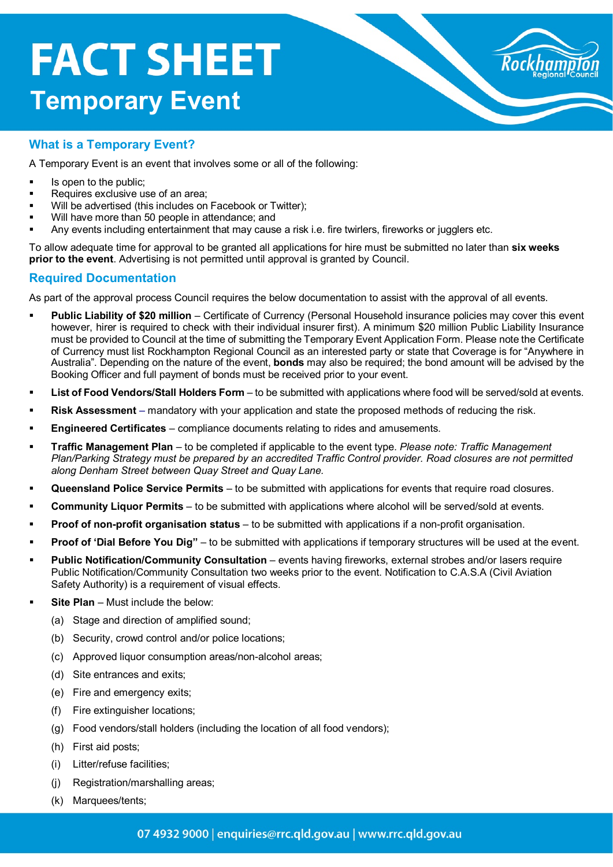## **FACT SHEET Temporary Event**



#### **What is a Temporary Event?**

A Temporary Event is an event that involves some or all of the following:

- Is open to the public;
- Requires exclusive use of an area;
- Will be advertised (this includes on Facebook or Twitter);
- Will have more than 50 people in attendance; and
- Any events including entertainment that may cause a risk i.e. fire twirlers, fireworks or jugglers etc.

To allow adequate time for approval to be granted all applications for hire must be submitted no later than **six weeks prior to the event**. Advertising is not permitted until approval is granted by Council.

#### **Required Documentation**

As part of the approval process Council requires the below documentation to assist with the approval of all events.

- **Public Liability of \$20 million** Certificate of Currency (Personal Household insurance policies may cover this event however, hirer is required to check with their individual insurer first). A minimum \$20 million Public Liability Insurance must be provided to Council at the time of submitting the Temporary Event Application Form. Please note the Certificate of Currency must list Rockhampton Regional Council as an interested party or state that Coverage is for "Anywhere in Australia". Depending on the nature of the event, **bonds** may also be required; the bond amount will be advised by the Booking Officer and full payment of bonds must be received prior to your event.
- **List of Food Vendors/Stall Holders Form**  to be submitted with applications where food will be served/sold at events.
- **Risk Assessment** mandatory with your application and state the proposed methods of reducing the risk.
- **Engineered Certificates** compliance documents relating to rides and amusements.
- **Traffic Management Plan** to be completed if applicable to the event type. *Please note: Traffic Management Plan/Parking Strategy must be prepared by an accredited Traffic Control provider. Road closures are not permitted along Denham Street between Quay Street and Quay Lane.*
- **Queensland Police Service Permits**  to be submitted with applications for events that require road closures.
- **Community Liquor Permits**  to be submitted with applications where alcohol will be served/sold at events.
- **Proof of non-profit organisation status** to be submitted with applications if a non-profit organisation.
- **Proof of 'Dial Before You Dig"** to be submitted with applications if temporary structures will be used at the event.
- **Public Notification/Community Consultation** events having fireworks, external strobes and/or lasers require Public Notification/Community Consultation two weeks prior to the event. Notification to C.A.S.A (Civil Aviation Safety Authority) is a requirement of visual effects.
- **Site Plan** Must include the below:
	- (a) Stage and direction of amplified sound;
	- (b) Security, crowd control and/or police locations;
	- (c) Approved liquor consumption areas/non-alcohol areas;
	- (d) Site entrances and exits;
	- (e) Fire and emergency exits;
	- (f) Fire extinguisher locations;
	- (g) Food vendors/stall holders (including the location of all food vendors);
	- (h) First aid posts;
	- (i) Litter/refuse facilities;
	- (j) Registration/marshalling areas;
	- (k) Marquees/tents;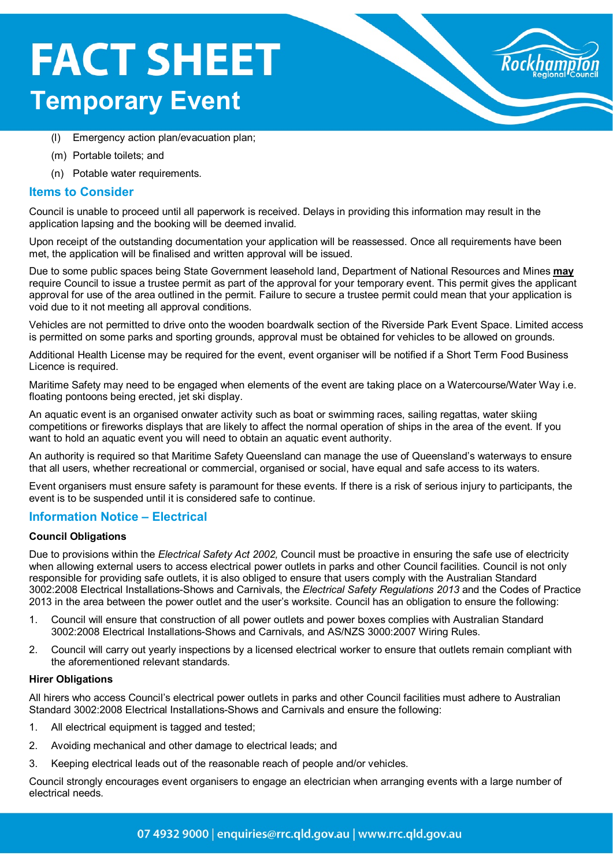### **FACT SHEET Temporary Event**



- (l) Emergency action plan/evacuation plan;
- (m) Portable toilets; and
- (n) Potable water requirements.

#### **Items to Consider**

Council is unable to proceed until all paperwork is received. Delays in providing this information may result in the application lapsing and the booking will be deemed invalid.

Upon receipt of the outstanding documentation your application will be reassessed. Once all requirements have been met, the application will be finalised and written approval will be issued.

Due to some public spaces being State Government leasehold land, Department of National Resources and Mines **may** require Council to issue a trustee permit as part of the approval for your temporary event. This permit gives the applicant approval for use of the area outlined in the permit. Failure to secure a trustee permit could mean that your application is void due to it not meeting all approval conditions.

Vehicles are not permitted to drive onto the wooden boardwalk section of the Riverside Park Event Space. Limited access is permitted on some parks and sporting grounds, approval must be obtained for vehicles to be allowed on grounds.

Additional Health License may be required for the event, event organiser will be notified if a Short Term Food Business Licence is required.

Maritime Safety may need to be engaged when elements of the event are taking place on a Watercourse/Water Way i.e. floating pontoons being erected, jet ski display.

An aquatic event is an organised onwater activity such as boat or swimming races, sailing regattas, water skiing competitions or fireworks displays that are likely to affect the normal operation of ships in the area of the event. If you want to hold an aquatic event you will need to obtain an aquatic event authority.

An authority is required so that Maritime Safety Queensland can manage the use of Queensland's waterways to ensure that all users, whether recreational or commercial, organised or social, have equal and safe access to its waters.

Event organisers must ensure safety is paramount for these events. If there is a risk of serious injury to participants, the event is to be suspended until it is considered safe to continue.

#### **Information Notice – Electrical**

#### **Council Obligations**

Due to provisions within the *Electrical Safety Act 2002,* Council must be proactive in ensuring the safe use of electricity when allowing external users to access electrical power outlets in parks and other Council facilities. Council is not only responsible for providing safe outlets, it is also obliged to ensure that users comply with the Australian Standard 3002:2008 Electrical Installations-Shows and Carnivals, the *Electrical Safety Regulations 2013* and the Codes of Practice 2013 in the area between the power outlet and the user's worksite. Council has an obligation to ensure the following:

- 1. Council will ensure that construction of all power outlets and power boxes complies with Australian Standard 3002:2008 Electrical Installations-Shows and Carnivals, and AS/NZS 3000:2007 Wiring Rules.
- 2. Council will carry out yearly inspections by a licensed electrical worker to ensure that outlets remain compliant with the aforementioned relevant standards.

#### **Hirer Obligations**

All hirers who access Council's electrical power outlets in parks and other Council facilities must adhere to Australian Standard 3002:2008 Electrical Installations-Shows and Carnivals and ensure the following:

- 1. All electrical equipment is tagged and tested;
- 2. Avoiding mechanical and other damage to electrical leads; and
- 3. Keeping electrical leads out of the reasonable reach of people and/or vehicles.

Council strongly encourages event organisers to engage an electrician when arranging events with a large number of electrical needs.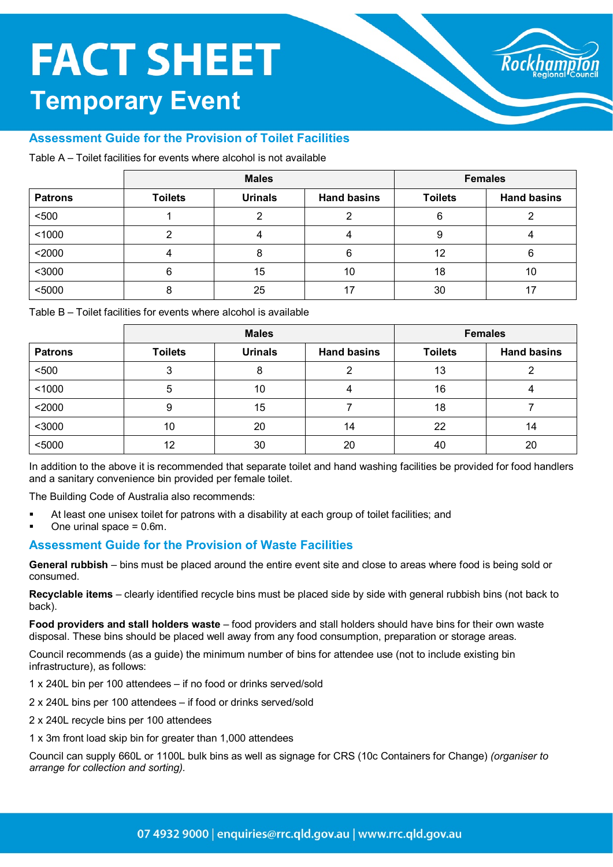### **FACT SHEET Temporary Event**



#### **Assessment Guide for the Provision of Toilet Facilities**

Table A – Toilet facilities for events where alcohol is not available

|                | <b>Males</b>   |                | <b>Females</b>     |                |                    |
|----------------|----------------|----------------|--------------------|----------------|--------------------|
| <b>Patrons</b> | <b>Toilets</b> | <b>Urinals</b> | <b>Hand basins</b> | <b>Toilets</b> | <b>Hand basins</b> |
| $500$          |                |                |                    | 6              |                    |
| 1000           |                |                |                    | 9              |                    |
| $2000$         |                |                | 6                  | 12             |                    |
| $3000$         |                | 15             | 10                 | 18             | 10                 |
| $5000$         |                | 25             |                    | 30             |                    |

Table B – Toilet facilities for events where alcohol is available

|                | <b>Males</b>   |                | <b>Females</b>     |                |                    |
|----------------|----------------|----------------|--------------------|----------------|--------------------|
| <b>Patrons</b> | <b>Toilets</b> | <b>Urinals</b> | <b>Hand basins</b> | <b>Toilets</b> | <b>Hand basins</b> |
| $500$          | ◠              | 8              |                    | 13             |                    |
| 1000           | 5              | 10             |                    | 16             |                    |
| $2000$         | 9              | 15             |                    | 18             |                    |
| $3000$         | 10             | 20             | 14                 | 22             | 14                 |
| $5000$         | 12             | 30             | 20                 | 40             | 20                 |

In addition to the above it is recommended that separate toilet and hand washing facilities be provided for food handlers and a sanitary convenience bin provided per female toilet.

The Building Code of Australia also recommends:

- At least one unisex toilet for patrons with a disability at each group of toilet facilities; and
- One urinal space = 0.6m.

#### **Assessment Guide for the Provision of Waste Facilities**

**General rubbish** – bins must be placed around the entire event site and close to areas where food is being sold or consumed.

**Recyclable items** – clearly identified recycle bins must be placed side by side with general rubbish bins (not back to back).

**Food providers and stall holders waste** – food providers and stall holders should have bins for their own waste disposal. These bins should be placed well away from any food consumption, preparation or storage areas.

Council recommends (as a guide) the minimum number of bins for attendee use (not to include existing bin infrastructure), as follows:

- 1 x 240L bin per 100 attendees if no food or drinks served/sold
- 2 x 240L bins per 100 attendees if food or drinks served/sold
- 2 x 240L recycle bins per 100 attendees
- 1 x 3m front load skip bin for greater than 1,000 attendees

Council can supply 660L or 1100L bulk bins as well as signage for CRS (10c Containers for Change) *(organiser to arrange for collection and sorting).*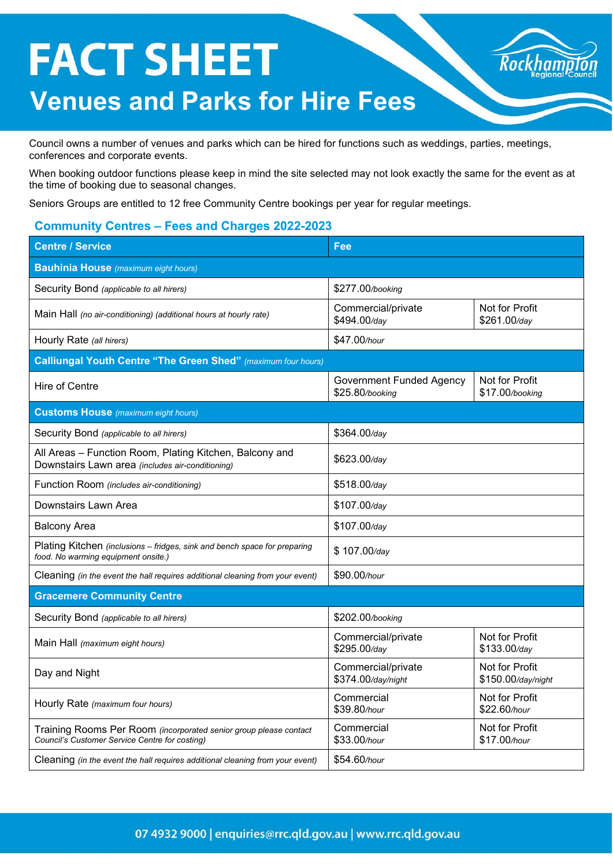## **FACT SHEET Venues and Parks for Hire Fees**



Council owns a number of venues and parks which can be hired for functions such as weddings, parties, meetings, conferences and corporate events.

When booking outdoor functions please keep in mind the site selected may not look exactly the same for the event as at the time of booking due to seasonal changes.

Seniors Groups are entitled to 12 free Community Centre bookings per year for regular meetings.

#### **Community Centres – Fees and Charges 2022-2023**

| <b>Centre / Service</b>                                                                                             | Fee                                                                  |                                      |  |
|---------------------------------------------------------------------------------------------------------------------|----------------------------------------------------------------------|--------------------------------------|--|
| <b>Bauhinia House</b> (maximum eight hours)                                                                         |                                                                      |                                      |  |
| Security Bond (applicable to all hirers)                                                                            | \$277.00/booking                                                     |                                      |  |
| Main Hall (no air-conditioning) (additional hours at hourly rate)                                                   | Commercial/private<br>\$494.00/day                                   | Not for Profit<br>\$261.00/day       |  |
| Hourly Rate (all hirers)                                                                                            | \$47.00/hour                                                         |                                      |  |
| <b>Calliungal Youth Centre "The Green Shed"</b> (maximum four hours)                                                |                                                                      |                                      |  |
| Hire of Centre                                                                                                      | <b>Government Funded Agency</b><br>\$25.80/booking                   | Not for Profit<br>\$17.00/booking    |  |
| <b>Customs House</b> (maximum eight hours)                                                                          |                                                                      |                                      |  |
| Security Bond (applicable to all hirers)                                                                            | \$364.00/day                                                         |                                      |  |
| All Areas - Function Room, Plating Kitchen, Balcony and<br>Downstairs Lawn area (includes air-conditioning)         | \$623.00/day                                                         |                                      |  |
| Function Room (includes air-conditioning)                                                                           | \$518.00/day                                                         |                                      |  |
| Downstairs Lawn Area                                                                                                | \$107.00/day                                                         |                                      |  |
| <b>Balcony Area</b>                                                                                                 | \$107.00/day                                                         |                                      |  |
| Plating Kitchen (inclusions - fridges, sink and bench space for preparing<br>food. No warming equipment onsite.)    | \$107.00/day                                                         |                                      |  |
| Cleaning (in the event the hall requires additional cleaning from your event)                                       | \$90.00/hour                                                         |                                      |  |
| <b>Gracemere Community Centre</b>                                                                                   |                                                                      |                                      |  |
| Security Bond (applicable to all hirers)                                                                            | \$202.00/booking                                                     |                                      |  |
| Main Hall (maximum eight hours)                                                                                     | Commercial/private<br>Not for Profit<br>\$295.00/day<br>\$133.00/day |                                      |  |
| Day and Night                                                                                                       | Commercial/private<br>\$374.00/day/night                             | Not for Profit<br>\$150.00/day/night |  |
| Hourly Rate (maximum four hours)                                                                                    | Commercial<br>Not for Profit<br>\$39.80/hour<br>\$22.60/hour         |                                      |  |
| Training Rooms Per Room (incorporated senior group please contact<br>Council's Customer Service Centre for costing) | Not for Profit<br>Commercial<br>\$33.00/hour<br>\$17.00/hour         |                                      |  |
| Cleaning (in the event the hall requires additional cleaning from your event)                                       | \$54.60/hour                                                         |                                      |  |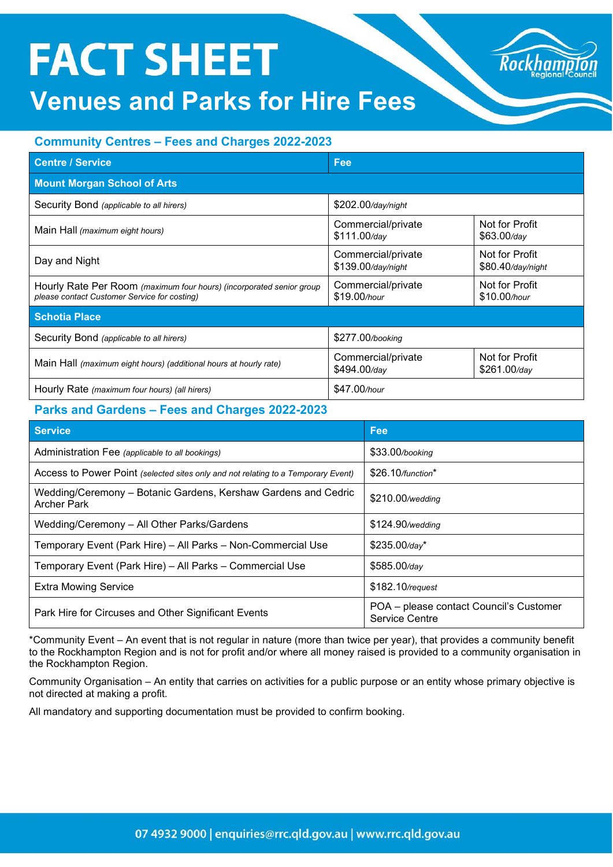# **FACT SHEET**

### **Venues and Parks for Hire Fees**

#### **Community Centres – Fees and Charges 2022-2023**

| <b>Centre / Service</b>                                                                                              | Fee                                                                    |                                     |  |
|----------------------------------------------------------------------------------------------------------------------|------------------------------------------------------------------------|-------------------------------------|--|
| <b>Mount Morgan School of Arts</b>                                                                                   |                                                                        |                                     |  |
| Security Bond (applicable to all hirers)                                                                             | \$202.00/day/night                                                     |                                     |  |
| Main Hall (maximum eight hours)                                                                                      | Commercial/private<br>$$111.00$ /day                                   | Not for Profit<br>$$63.00$ /day     |  |
| Day and Night                                                                                                        | Commercial/private<br>\$139.00/day/night                               | Not for Profit<br>\$80.40/day/night |  |
| Hourly Rate Per Room (maximum four hours) (incorporated senior group<br>please contact Customer Service for costing) | Not for Profit<br>Commercial/private<br>\$19.00/hour<br>$$10.00$ /hour |                                     |  |
| <b>Schotia Place</b>                                                                                                 |                                                                        |                                     |  |
| Security Bond (applicable to all hirers)                                                                             | \$277.00/booking                                                       |                                     |  |
| Main Hall (maximum eight hours) (additional hours at hourly rate)                                                    | Not for Profit<br>Commercial/private<br>\$494.00/day<br>$$261.00$ /day |                                     |  |
| Hourly Rate (maximum four hours) (all hirers)                                                                        | \$47.00/hour                                                           |                                     |  |

#### **Parks and Gardens – Fees and Charges 2022-2023**

| <b>Service</b>                                                                       | Fee                                                              |
|--------------------------------------------------------------------------------------|------------------------------------------------------------------|
| Administration Fee (applicable to all bookings)                                      | \$33.00/booking                                                  |
| Access to Power Point (selected sites only and not relating to a Temporary Event)    | $$26.10$ /function*                                              |
| Wedding/Ceremony - Botanic Gardens, Kershaw Gardens and Cedric<br><b>Archer Park</b> | \$210.00/wedding                                                 |
| Wedding/Ceremony - All Other Parks/Gardens                                           | \$124.90/wedding                                                 |
| Temporary Event (Park Hire) - All Parks - Non-Commercial Use                         | $$235.00$ /day*                                                  |
| Temporary Event (Park Hire) - All Parks - Commercial Use                             | $$585.00$ /day                                                   |
| <b>Extra Mowing Service</b>                                                          | \$182.10/request                                                 |
| Park Hire for Circuses and Other Significant Events                                  | POA - please contact Council's Customer<br><b>Service Centre</b> |

\*Community Event – An event that is not regular in nature (more than twice per year), that provides a community benefit to the Rockhampton Region and is not for profit and/or where all money raised is provided to a community organisation in the Rockhampton Region.

Community Organisation – An entity that carries on activities for a public purpose or an entity whose primary objective is not directed at making a profit.

All mandatory and supporting documentation must be provided to confirm booking.